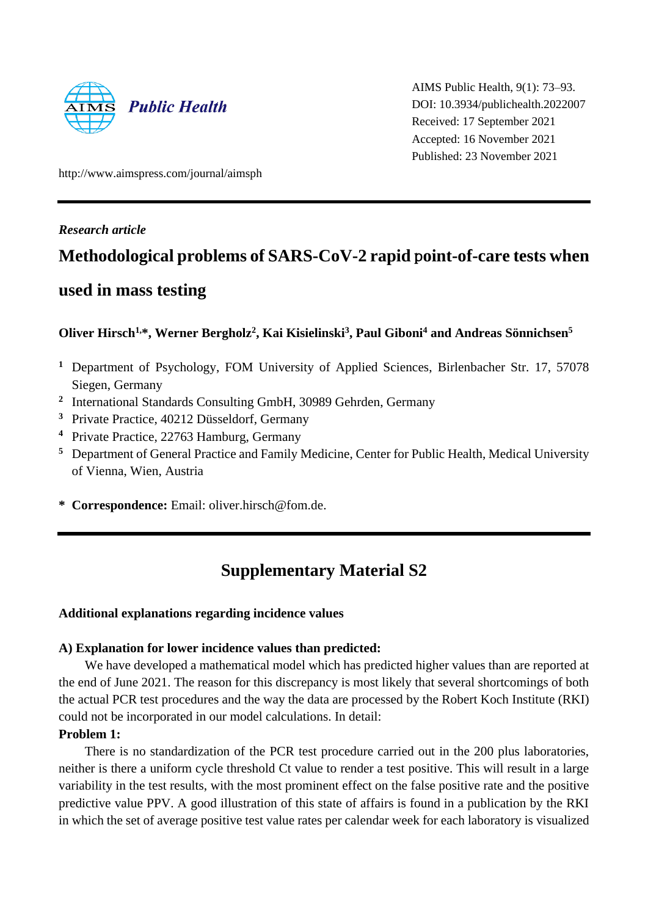

AIMS Public Health, 9(1): 73–93. DOI: 10.3934/publichealth.2022007 Received: 17 September 2021 Accepted: 16 November 2021 Published: 23 November 2021

http://www.aimspress.com/journal/aimsph

#### *Research article*

## **Methodological problems of SARS-CoV-2 rapid** p**oint-of-care tests when**

### **used in mass testing**

#### **Oliver Hirsch1,\*, Werner Bergholz<sup>2</sup> , Kai Kisielinski<sup>3</sup> , Paul Giboni<sup>4</sup> and Andreas Sönnichsen<sup>5</sup>**

- **<sup>1</sup>** Department of Psychology, FOM University of Applied Sciences, Birlenbacher Str. 17, 57078 Siegen, Germany
- <sup>2</sup> International Standards Consulting GmbH, 30989 Gehrden, Germany
- **<sup>3</sup>** Private Practice, 40212 Düsseldorf, Germany
- **<sup>4</sup>** Private Practice, 22763 Hamburg, Germany
- **<sup>5</sup>** Department of General Practice and Family Medicine, Center for Public Health, Medical University of Vienna, Wien, Austria
- **\* Correspondence:** Email: oliver.hirsch@fom.de.

# **Supplementary Material S2**

#### **Additional explanations regarding incidence values**

#### **A) Explanation for lower incidence values than predicted:**

We have developed a mathematical model which has predicted higher values than are reported at the end of June 2021. The reason for this discrepancy is most likely that several shortcomings of both the actual PCR test procedures and the way the data are processed by the Robert Koch Institute (RKI) could not be incorporated in our model calculations. In detail:

#### **Problem 1:**

There is no standardization of the PCR test procedure carried out in the 200 plus laboratories, neither is there a uniform cycle threshold Ct value to render a test positive. This will result in a large variability in the test results, with the most prominent effect on the false positive rate and the positive predictive value PPV. A good illustration of this state of affairs is found in a publication by the RKI in which the set of average positive test value rates per calendar week for each laboratory is visualized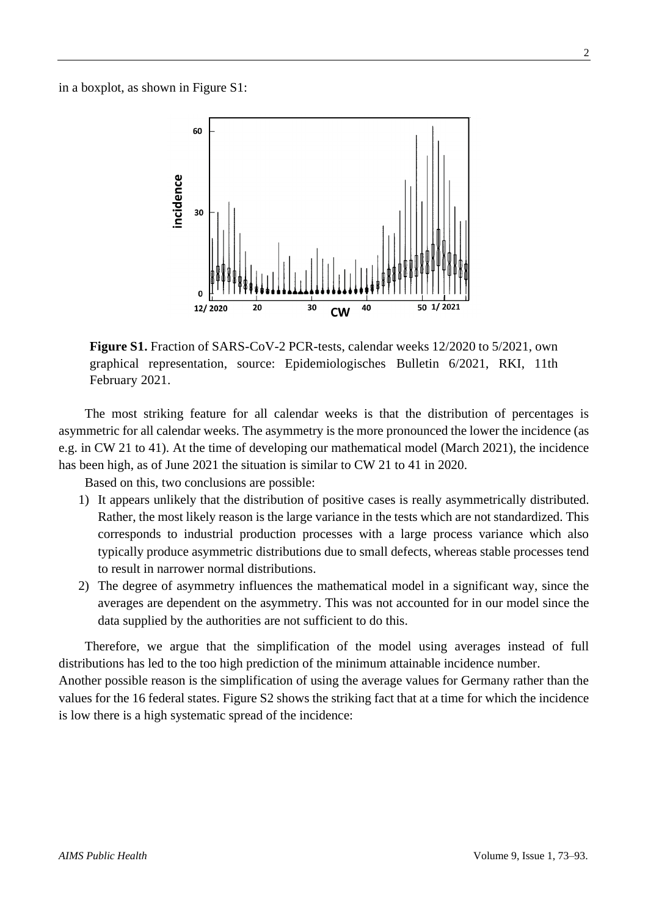in a boxplot, as shown in Figure S1:



**Figure S1.** Fraction of SARS-CoV-2 PCR-tests, calendar weeks 12/2020 to 5/2021, own graphical representation, source: Epidemiologisches Bulletin 6/2021, RKI, 11th February 2021.

The most striking feature for all calendar weeks is that the distribution of percentages is asymmetric for all calendar weeks. The asymmetry is the more pronounced the lower the incidence (as e.g. in CW 21 to 41). At the time of developing our mathematical model (March 2021), the incidence has been high, as of June 2021 the situation is similar to CW 21 to 41 in 2020.

Based on this, two conclusions are possible:

- 1) It appears unlikely that the distribution of positive cases is really asymmetrically distributed. Rather, the most likely reason is the large variance in the tests which are not standardized. This corresponds to industrial production processes with a large process variance which also typically produce asymmetric distributions due to small defects, whereas stable processes tend to result in narrower normal distributions.
- 2) The degree of asymmetry influences the mathematical model in a significant way, since the averages are dependent on the asymmetry. This was not accounted for in our model since the data supplied by the authorities are not sufficient to do this.

Therefore, we argue that the simplification of the model using averages instead of full distributions has led to the too high prediction of the minimum attainable incidence number.

Another possible reason is the simplification of using the average values for Germany rather than the values for the 16 federal states. Figure S2 shows the striking fact that at a time for which the incidence is low there is a high systematic spread of the incidence: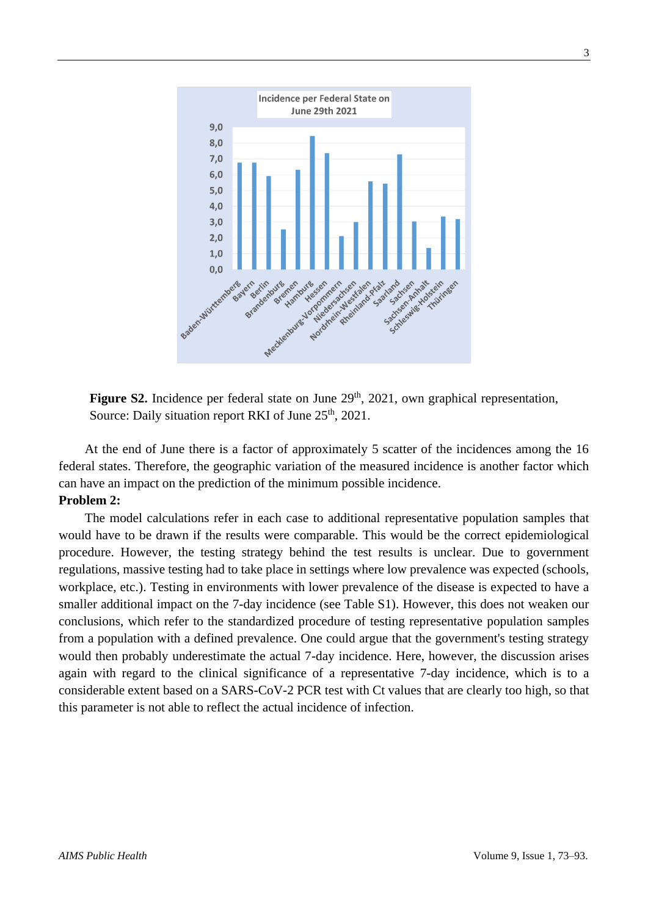

Figure S2. Incidence per federal state on June 29<sup>th</sup>, 2021, own graphical representation, Source: Daily situation report RKI of June 25<sup>th</sup>, 2021.

At the end of June there is a factor of approximately 5 scatter of the incidences among the 16 federal states. Therefore, the geographic variation of the measured incidence is another factor which can have an impact on the prediction of the minimum possible incidence.

#### **Problem 2:**

The model calculations refer in each case to additional representative population samples that would have to be drawn if the results were comparable. This would be the correct epidemiological procedure. However, the testing strategy behind the test results is unclear. Due to government regulations, massive testing had to take place in settings where low prevalence was expected (schools, workplace, etc.). Testing in environments with lower prevalence of the disease is expected to have a smaller additional impact on the 7-day incidence (see Table S1). However, this does not weaken our conclusions, which refer to the standardized procedure of testing representative population samples from a population with a defined prevalence. One could argue that the government's testing strategy would then probably underestimate the actual 7-day incidence. Here, however, the discussion arises again with regard to the clinical significance of a representative 7-day incidence, which is to a considerable extent based on a SARS-CoV-2 PCR test with Ct values that are clearly too high, so that this parameter is not able to reflect the actual incidence of infection.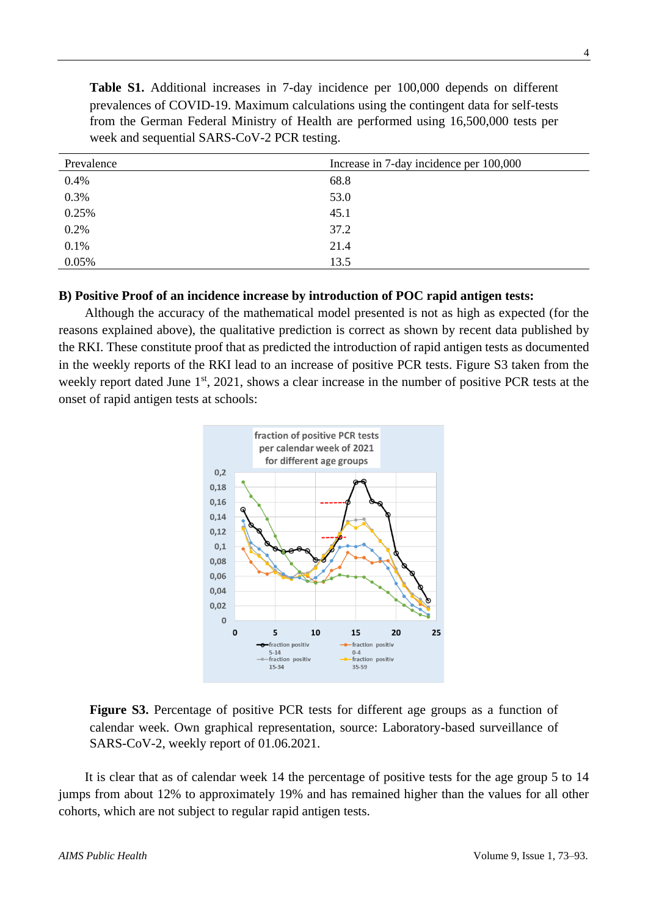**Table S1.** Additional increases in 7-day incidence per 100,000 depends on different prevalences of COVID-19. Maximum calculations using the contingent data for self-tests from the German Federal Ministry of Health are performed using 16,500,000 tests per week and sequential SARS-CoV-2 PCR testing.

| Prevalence | Increase in 7-day incidence per 100,000 |
|------------|-----------------------------------------|
| 0.4%       | 68.8                                    |
| 0.3%       | 53.0                                    |
| 0.25%      | 45.1                                    |
| 0.2%       | 37.2                                    |
| 0.1%       | 21.4                                    |
| 0.05%      | 13.5                                    |

#### **B) Positive Proof of an incidence increase by introduction of POC rapid antigen tests:**

Although the accuracy of the mathematical model presented is not as high as expected (for the reasons explained above), the qualitative prediction is correct as shown by recent data published by the RKI. These constitute proof that as predicted the introduction of rapid antigen tests as documented in the weekly reports of the RKI lead to an increase of positive PCR tests. Figure S3 taken from the weekly report dated June 1<sup>st</sup>, 2021, shows a clear increase in the number of positive PCR tests at the onset of rapid antigen tests at schools:





It is clear that as of calendar week 14 the percentage of positive tests for the age group 5 to 14 jumps from about 12% to approximately 19% and has remained higher than the values for all other cohorts, which are not subject to regular rapid antigen tests.